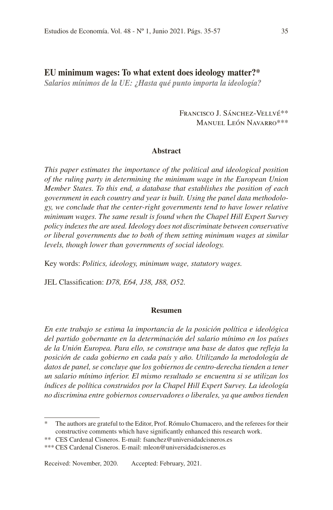# EU minimum wages: To what extent does ideology matter?\*

*Salarios mínimos de la UE: ¿Hasta qué punto importa la ideología?*

Francisco J. Sánchez-Vellvé\*\* Manuel León Navarro\*\*\*

#### **Abstract**

*This paper estimates the importance of the political and ideological position of the ruling party in determining the minimum wage in the European Union Member States. To this end, a database that establishes the position of each government in each country and year is built. Using the panel data methodology, we conclude that the center-right governments tend to have lower relative minimum wages. The same result is found when the Chapel Hill Expert Survey policy indexes the are used. Ideology does not discriminate between conservative or liberal governments due to both of them setting minimum wages at similar levels, though lower than governments of social ideology.*

Key words: *Politics, ideology, minimum wage, statutory wages.*

JEL Classification: *D78, E64, J38, J88, O52.*

#### **Resumen**

*En este trabajo se estima la importancia de la posición política e ideológica del partido gobernante en la determinación del salario mínimo en los países de la Unión Europea. Para ello, se construye una base de datos que refleja la posición de cada gobierno en cada país y año. Utilizando la metodología de datos de panel, se concluye que los gobiernos de centro-derecha tienden a tener un salario mínimo inferior. El mismo resultado se encuentra si se utilizan los índices de política construidos por la Chapel Hill Expert Survey. La ideología no discrimina entre gobiernos conservadores o liberales, ya que ambos tienden* 

<sup>\*</sup> The authors are grateful to the Editor, Prof. Rómulo Chumacero, and the referees for their constructive comments which have significantly enhanced this research work.

<sup>\*\*</sup> CES Cardenal Cisneros. E-mail: fsanchez@universidadcisneros.es

<sup>\*\*\*</sup> CES Cardenal Cisneros. E-mail: mleon@universidadcisneros.es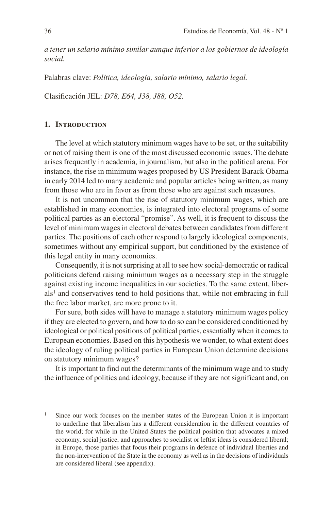*a tener un salario mínimo similar aunque inferior a los gobiernos de ideología social.*

Palabras clave: *Política, ideología, salario mínimo, salario legal.*

Clasificación JEL: *D78, E64, J38, J88, O52.*

#### **1. Introduction**

The level at which statutory minimum wages have to be set, or the suitability or not of raising them is one of the most discussed economic issues. The debate arises frequently in academia, in journalism, but also in the political arena. For instance, the rise in minimum wages proposed by US President Barack Obama in early 2014 led to many academic and popular articles being written, as many from those who are in favor as from those who are against such measures.

It is not uncommon that the rise of statutory minimum wages, which are established in many economies, is integrated into electoral programs of some political parties as an electoral "promise". As well, it is frequent to discuss the level of minimum wages in electoral debates between candidates from different parties. The positions of each other respond to largely ideological components, sometimes without any empirical support, but conditioned by the existence of this legal entity in many economies.

Consequently, it is not surprising at all to see how social-democratic or radical politicians defend raising minimum wages as a necessary step in the struggle against existing income inequalities in our societies. To the same extent, liber $als<sup>1</sup>$  and conservatives tend to hold positions that, while not embracing in full the free labor market, are more prone to it.

For sure, both sides will have to manage a statutory minimum wages policy if they are elected to govern, and how to do so can be considered conditioned by ideological or political positions of political parties, essentially when it comes to European economies. Based on this hypothesis we wonder, to what extent does the ideology of ruling political parties in European Union determine decisions on statutory minimum wages?

It is important to find out the determinants of the minimum wage and to study the influence of politics and ideology, because if they are not significant and, on

<sup>&</sup>lt;sup>1</sup> Since our work focuses on the member states of the European Union it is important to underline that liberalism has a different consideration in the different countries of the world; for while in the United States the political position that advocates a mixed economy, social justice, and approaches to socialist or leftist ideas is considered liberal; in Europe, those parties that focus their programs in defence of individual liberties and the non-intervention of the State in the economy as well as in the decisions of individuals are considered liberal (see appendix).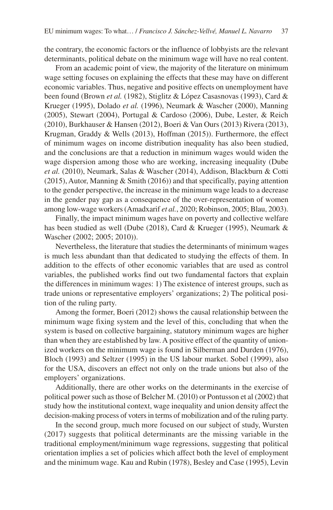the contrary, the economic factors or the influence of lobbyists are the relevant determinants, political debate on the minimum wage will have no real content.

From an academic point of view, the majority of the literature on minimum wage setting focuses on explaining the effects that these may have on different economic variables. Thus, negative and positive effects on unemployment have been found (Brown *et al.* (1982), Stiglitz & López Casasnovas (1993), Card & Krueger (1995), Dolado *et al.* (1996), Neumark & Wascher (2000), Manning (2005), Stewart (2004), Portugal & Cardoso (2006), Dube, Lester, & Reich (2010), Burkhauser & Hansen (2012), Boeri & Van Ours (2013) Rivera (2013), Krugman, Graddy & Wells (2013), Hoffman (2015)). Furthermore, the effect of minimum wages on income distribution inequality has also been studied, and the conclusions are that a reduction in minimum wages would widen the wage dispersion among those who are working, increasing inequality (Dube *et al.* (2010), Neumark, Salas & Wascher (2014), Addison, Blackburn & Cotti (2015), Autor, Manning & Smith (2016)) and that specifically, paying attention to the gender perspective, the increase in the minimum wage leads to a decrease in the gender pay gap as a consequence of the over-representation of women among low-wage workers (Amadxarif *et al.*, 2020; Robinson, 2005; Blau, 2003).

Finally, the impact minimum wages have on poverty and collective welfare has been studied as well (Dube (2018), Card & Krueger (1995), Neumark & Wascher (2002; 2005; 2010)).

Nevertheless, the literature that studies the determinants of minimum wages is much less abundant than that dedicated to studying the effects of them. In addition to the effects of other economic variables that are used as control variables, the published works find out two fundamental factors that explain the differences in minimum wages: 1) The existence of interest groups, such as trade unions or representative employers' organizations; 2) The political position of the ruling party.

Among the former, Boeri (2012) shows the causal relationship between the minimum wage fixing system and the level of this, concluding that when the system is based on collective bargaining, statutory minimum wages are higher than when they are established by law. A positive effect of the quantity of unionized workers on the minimum wage is found in Silberman and Durden (1976), Bloch (1993) and Seltzer (1995) in the US labour market. Sobel (1999), also for the USA, discovers an effect not only on the trade unions but also of the employers' organizations.

Additionally, there are other works on the determinants in the exercise of political power such as those of Belcher M. (2010) or Pontusson et al (2002) that study how the institutional context, wage inequality and union density affect the decision-making process of voters in terms of mobilization and of the ruling party.

In the second group, much more focused on our subject of study, Wursten (2017) suggests that political determinants are the missing variable in the traditional employment/minimum wage regressions, suggesting that political orientation implies a set of policies which affect both the level of employment and the minimum wage. Kau and Rubin (1978), Besley and Case (1995), Levin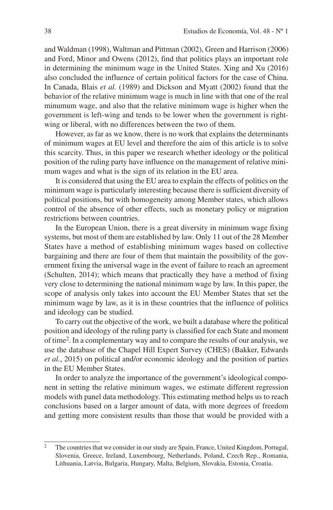and Waldman (1998), Waltman and Pittman (2002), Green and Harrison (2006) and Ford, Minor and Owens (2012), find that politics plays an important role in determining the minimum wage in the United States. Xing and Xu (2016) also concluded the influence of certain political factors for the case of China. In Canada, Blais *et al.* (1989) and Dickson and Myatt (2002) found that the behavior of the relative minimum wage is much in line with that one of the real minumum wage, and also that the relative minimum wage is higher when the government is left-wing and tends to be lower when the government is rightwing or liberal, with no differences between the two of them.

However, as far as we know, there is no work that explains the determinants of minimum wages at EU level and therefore the aim of this article is to solve this scarcity. Thus, in this paper we research whether ideology or the political position of the ruling party have influence on the management of relative minimum wages and what is the sign of its relation in the EU area.

It is considered that using the EU area to explain the effects of politics on the minimum wage is particularly interesting because there is sufficient diversity of political positions, but with homogeneity among Member states, which allows control of the absence of other effects, such as monetary policy or migration restrictions between countries.

In the European Union, there is a great diversity in minimum wage fixing systems, but most of them are established by law. Only 11 out of the 28 Member States have a method of establishing minimum wages based on collective bargaining and there are four of them that maintain the possibility of the government fixing the universal wage in the event of failure to reach an agreement (Schulten, 2014); which means that practically they have a method of fixing very close to determining the national minimum wage by law. In this paper, the scope of analysis only takes into account the EU Member States that set the minimum wage by law, as it is in these countries that the influence of politics and ideology can be studied.

To carry out the objective of the work, we built a database where the political position and ideology of the ruling party is classified for each State and moment of time2. In a complementary way and to compare the results of our analysis, we use the database of the Chapel Hill Expert Survey (CHES) (Bakker, Edwards *et al.*, 2015) on political and/or economic ideology and the position of parties in the EU Member States.

In order to analyze the importance of the government's ideological component in setting the relative minimum wages, we estimate different regression models with panel data methodology. This estimating method helps us to reach conclusions based on a larger amount of data, with more degrees of freedom and getting more consistent results than those that would be provided with a

<sup>&</sup>lt;sup>2</sup> The countries that we consider in our study are Spain, France, United Kingdom, Portugal, Slovenia, Greece, Ireland, Luxembourg, Netherlands, Poland, Czech Rep., Romania, Lithuania, Latvia, Bulgaria, Hungary, Malta, Belgium, Slovakia, Estonia, Croatia.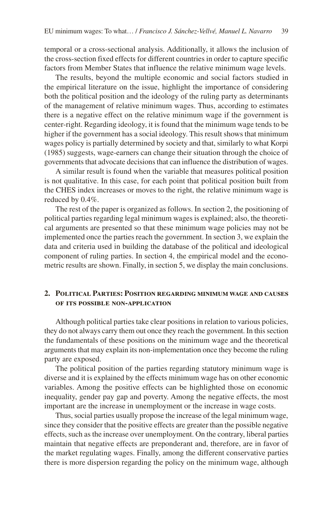temporal or a cross-sectional analysis. Additionally, it allows the inclusion of the cross-section fixed effects for different countries in order to capture specific factors from Member States that influence the relative minimum wage levels.

The results, beyond the multiple economic and social factors studied in the empirical literature on the issue, highlight the importance of considering both the political position and the ideology of the ruling party as determinants of the management of relative minimum wages. Thus, according to estimates there is a negative effect on the relative minimum wage if the government is center-right. Regarding ideology, it is found that the minimum wage tends to be higher if the government has a social ideology. This result shows that minimum wages policy is partially determined by society and that, similarly to what Korpi (1985) suggests, wage-earners can change their situation through the choice of governments that advocate decisions that can influence the distribution of wages.

A similar result is found when the variable that measures political position is not qualitative. In this case, for each point that political position built from the CHES index increases or moves to the right, the relative minimum wage is reduced by 0.4%.

The rest of the paper is organized as follows. In section 2, the positioning of political parties regarding legal minimum wages is explained; also, the theoretical arguments are presented so that these minimum wage policies may not be implemented once the parties reach the government. In section 3, we explain the data and criteria used in building the database of the political and ideological component of ruling parties. In section 4, the empirical model and the econometric results are shown. Finally, in section 5, we display the main conclusions.

## **2. Political Parties: Position regarding minimum wage and causes of its possible non-application**

Although political parties take clear positions in relation to various policies, they do not always carry them out once they reach the government. In this section the fundamentals of these positions on the minimum wage and the theoretical arguments that may explain its non-implementation once they become the ruling party are exposed.

The political position of the parties regarding statutory minimum wage is diverse and it is explained by the effects minimum wage has on other economic variables. Among the positive effects can be highlighted those on economic inequality, gender pay gap and poverty. Among the negative effects, the most important are the increase in unemployment or the increase in wage costs.

Thus, social parties usually propose the increase of the legal minimum wage, since they consider that the positive effects are greater than the possible negative effects, such as the increase over unemployment. On the contrary, liberal parties maintain that negative effects are preponderant and, therefore, are in favor of the market regulating wages. Finally, among the different conservative parties there is more dispersion regarding the policy on the minimum wage, although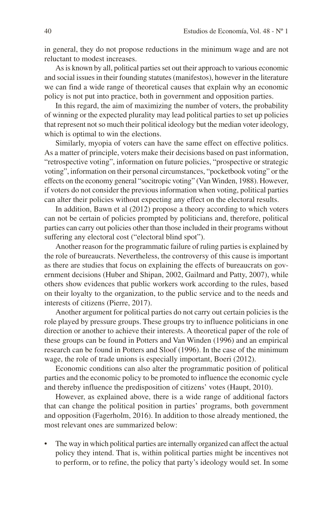in general, they do not propose reductions in the minimum wage and are not reluctant to modest increases.

As is known by all, political parties set out their approach to various economic and social issues in their founding statutes (manifestos), however in the literature we can find a wide range of theoretical causes that explain why an economic policy is not put into practice, both in government and opposition parties.

In this regard, the aim of maximizing the number of voters, the probability of winning or the expected plurality may lead political parties to set up policies that represent not so much their political ideology but the median voter ideology, which is optimal to win the elections.

Similarly, myopia of voters can have the same effect on effective politics. As a matter of principle, voters make their decisions based on past information, "retrospective voting", information on future policies, "prospective or strategic voting", information on their personal circumstances, "pocketbook voting" or the effects on the economy general "socitropic voting" (Van Winden, 1988). However, if voters do not consider the previous information when voting, political parties can alter their policies without expecting any effect on the electoral results.

In addition, Bawn et al (2012) propose a theory according to which voters can not be certain of policies prompted by politicians and, therefore, political parties can carry out policies other than those included in their programs without suffering any electoral cost ("electoral blind spot").

Another reason for the programmatic failure of ruling parties is explained by the role of bureaucrats. Nevertheless, the controversy of this cause is important as there are studies that focus on explaining the effects of bureaucrats on government decisions (Huber and Shipan, 2002, Gailmard and Patty, 2007), while others show evidences that public workers work according to the rules, based on their loyalty to the organization, to the public service and to the needs and interests of citizens (Pierre, 2017).

Another argument for political parties do not carry out certain policies is the role played by pressure groups. These groups try to influence politicians in one direction or another to achieve their interests. A theoretical paper of the role of these groups can be found in Potters and Van Winden (1996) and an empirical research can be found in Potters and Sloof (1996). In the case of the minimum wage, the role of trade unions is especially important, Boeri (2012).

Economic conditions can also alter the programmatic position of political parties and the economic policy to be promoted to influence the economic cycle and thereby influence the predisposition of citizens' votes (Haupt, 2010).

However, as explained above, there is a wide range of additional factors that can change the political position in parties' programs, both government and opposition (Fagerholm, 2016). In addition to those already mentioned, the most relevant ones are summarized below:

The way in which political parties are internally organized can affect the actual policy they intend. That is, within political parties might be incentives not to perform, or to refine, the policy that party's ideology would set. In some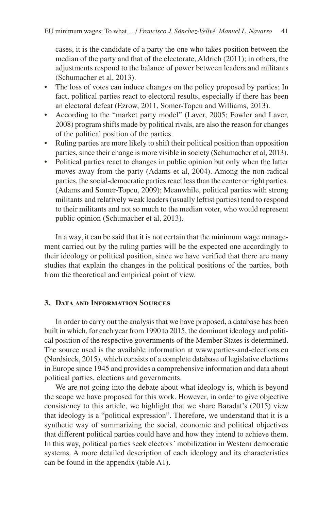cases, it is the candidate of a party the one who takes position between the median of the party and that of the electorate, Aldrich (2011); in others, the adjustments respond to the balance of power between leaders and militants (Schumacher et al, 2013).

- The loss of votes can induce changes on the policy proposed by parties; In fact, political parties react to electoral results, especially if there has been an electoral defeat (Ezrow, 2011, Somer-Topcu and Williams, 2013).
- According to the "market party model" (Laver, 2005; Fowler and Laver, 2008) program shifts made by political rivals, are also the reason for changes of the political position of the parties.
- Ruling parties are more likely to shift their political position than opposition parties, since their change is more visible in society (Schumacher et al, 2013).
- Political parties react to changes in public opinion but only when the latter moves away from the party (Adams et al, 2004). Among the non-radical parties, the social-democratic parties react less than the center or right parties. (Adams and Somer-Topcu, 2009); Meanwhile, political parties with strong militants and relatively weak leaders (usually leftist parties) tend to respond to their militants and not so much to the median voter, who would represent public opinion (Schumacher et al, 2013).

In a way, it can be said that it is not certain that the minimum wage management carried out by the ruling parties will be the expected one accordingly to their ideology or political position, since we have verified that there are many studies that explain the changes in the political positions of the parties, both from the theoretical and empirical point of view.

## **3. Data and Information Sources**

In order to carry out the analysis that we have proposed, a database has been built in which, for each year from 1990 to 2015, the dominant ideology and political position of the respective governments of the Member States is determined. The source used is the available information at www.parties-and-elections.eu (Nordsieck, 2015), which consists of a complete database of legislative elections in Europe since 1945 and provides a comprehensive information and data about political parties, elections and governments.

We are not going into the debate about what ideology is, which is beyond the scope we have proposed for this work. However, in order to give objective consistency to this article, we highlight that we share Baradat's (2015) view that ideology is a "political expression". Therefore, we understand that it is a synthetic way of summarizing the social, economic and political objectives that different political parties could have and how they intend to achieve them. In this way, political parties seek electors´ mobilization in Western democratic systems. A more detailed description of each ideology and its characteristics can be found in the appendix (table A1).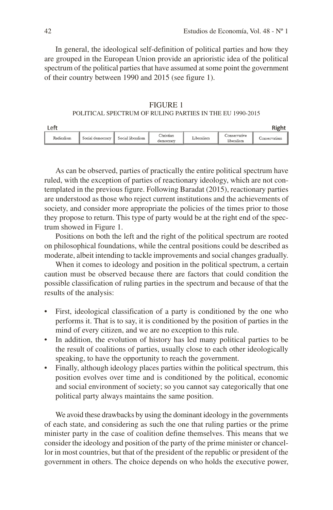In general, the ideological self-definition of political parties and how they are grouped in the European Union provide an aprioristic idea of the political spectrum of the political parties that have assumed at some point the government of their country between 1990 and 2015 (see figure 1).

FIGURE 1 POLITICAL SPECTRUM OF RULING PARTIES IN THE EU 1990-2015

| ft ۱       |                  |                   |                        |                        |                            | Righ        |
|------------|------------------|-------------------|------------------------|------------------------|----------------------------|-------------|
| Radicalism | Social democracy | Social liberalism | Christian<br>democracy | <sup>v</sup> iberalism | Conservative<br>liberalism | onservatism |

As can be observed, parties of practically the entire political spectrum have ruled, with the exception of parties of reactionary ideology, which are not contemplated in the previous figure. Following Baradat (2015), reactionary parties are understood as those who reject current institutions and the achievements of society, and consider more appropriate the policies of the times prior to those they propose to return. This type of party would be at the right end of the spectrum showed in Figure 1.

Positions on both the left and the right of the political spectrum are rooted on philosophical foundations, while the central positions could be described as moderate, albeit intending to tackle improvements and social changes gradually.

When it comes to ideology and position in the political spectrum, a certain caution must be observed because there are factors that could condition the possible classification of ruling parties in the spectrum and because of that the results of the analysis:

- First, ideological classification of a party is conditioned by the one who performs it. That is to say, it is conditioned by the position of parties in the mind of every citizen, and we are no exception to this rule.
- In addition, the evolution of history has led many political parties to be the result of coalitions of parties, usually close to each other ideologically speaking, to have the opportunity to reach the government.
- Finally, although ideology places parties within the political spectrum, this position evolves over time and is conditioned by the political, economic and social environment of society; so you cannot say categorically that one political party always maintains the same position.

We avoid these drawbacks by using the dominant ideology in the governments of each state, and considering as such the one that ruling parties or the prime minister party in the case of coalition define themselves. This means that we consider the ideology and position of the party of the prime minister or chancellor in most countries, but that of the president of the republic or president of the government in others. The choice depends on who holds the executive power,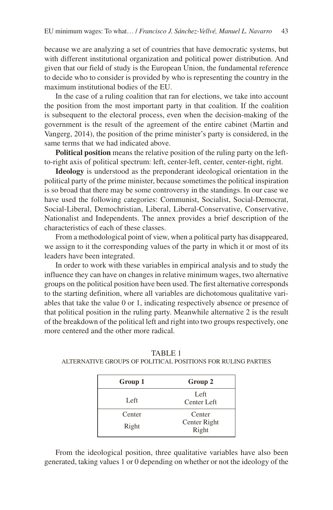because we are analyzing a set of countries that have democratic systems, but with different institutional organization and political power distribution. And given that our field of study is the European Union, the fundamental reference to decide who to consider is provided by who is representing the country in the maximum institutional bodies of the EU.

In the case of a ruling coalition that ran for elections, we take into account the position from the most important party in that coalition. If the coalition is subsequent to the electoral process, even when the decision-making of the government is the result of the agreement of the entire cabinet (Martin and Vangerg, 2014), the position of the prime minister's party is considered, in the same terms that we had indicated above.

**Political position** means the relative position of the ruling party on the leftto-right axis of political spectrum: left, center-left, center, center-right, right.

**Ideology** is understood as the preponderant ideological orientation in the political party of the prime minister, because sometimes the political inspiration is so broad that there may be some controversy in the standings. In our case we have used the following categories: Communist, Socialist, Social-Democrat, Social-Liberal, Demochristian, Liberal, Liberal-Conservative, Conservative, Nationalist and Independents. The annex provides a brief description of the characteristics of each of these classes.

From a methodological point of view, when a political party has disappeared, we assign to it the corresponding values of the party in which it or most of its leaders have been integrated.

In order to work with these variables in empirical analysis and to study the influence they can have on changes in relative minimum wages, two alternative groups on the political position have been used. The first alternative corresponds to the starting definition, where all variables are dichotomous qualitative variables that take the value 0 or 1, indicating respectively absence or presence of that political position in the ruling party. Meanwhile alternative 2 is the result of the breakdown of the political left and right into two groups respectively, one more centered and the other more radical.

| Group 1 | Group 2               |
|---------|-----------------------|
| Left    | Left<br>Center Left   |
| Center  | Center                |
| Right   | Center Right<br>Right |

TABLE 1 ALTERNATIVE GROUPS OF POLITICAL POSITIONS FOR RULING PARTIES

From the ideological position, three qualitative variables have also been generated, taking values 1 or 0 depending on whether or not the ideology of the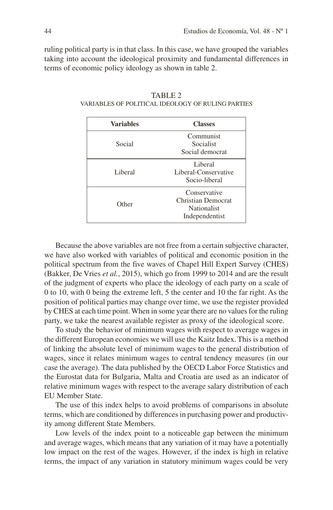ruling political party is in that class. In this case, we have grouped the variables taking into account the ideological proximity and fundamental differences in terms of economic policy ideology as shown in table 2.

| <b>Variables</b> | <b>Classes</b>                                                             |
|------------------|----------------------------------------------------------------------------|
| Social           | Communist<br>Socialist<br>Social democrat                                  |
| Liberal          | Liberal<br>Liberal-Conservative<br>Socio-liberal                           |
| Other            | Conservative<br>Christian Democrat<br><b>Nationalist</b><br>Independentist |

TABLE 2 VARIABLES OF POLITICAL IDEOLOGY OF RULING PARTIES

Because the above variables are not free from a certain subjective character, we have also worked with variables of political and economic position in the political spectrum from the five waves of Chapel Hill Expert Survey (CHES) (Bakker, De Vries *et al.*, 2015), which go from 1999 to 2014 and are the result of the judgment of experts who place the ideology of each party on a scale of 0 to 10, with 0 being the extreme left, 5 the center and 10 the far right. As the position of political parties may change over time, we use the register provided by CHES at each time point. When in some year there are no values for the ruling party, we take the nearest available register as proxy of the ideological score.

To study the behavior of minimum wages with respect to average wages in the different European economies we will use the Kaitz Index. This is a method of linking the absolute level of minimum wages to the general distribution of wages, since it relates minimum wages to central tendency measures (in our case the average). The data published by the OECD Labor Force Statistics and the Eurostat data for Bulgaria, Malta and Croatia are used as an indicator of relative minimum wages with respect to the average salary distribution of each EU Member State.

The use of this index helps to avoid problems of comparisons in absolute terms, which are conditioned by differences in purchasing power and productivity among different State Members.

Low levels of the index point to a noticeable gap between the minimum and average wages, which means that any variation of it may have a potentially low impact on the rest of the wages. However, if the index is high in relative terms, the impact of any variation in statutory minimum wages could be very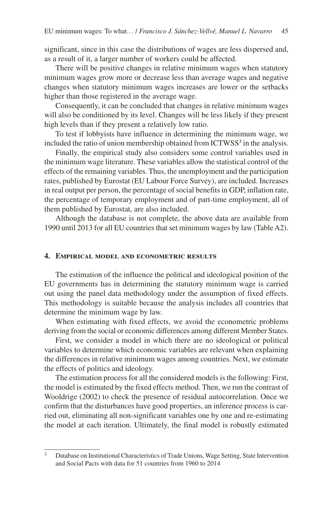significant, since in this case the distributions of wages are less dispersed and, as a result of it, a larger number of workers could be affected.

There will be positive changes in relative minimum wages when statutory minimum wages grow more or decrease less than average wages and negative changes when statutory minimum wages increases are lower or the setbacks higher than those registered in the average wage.

Consequently, it can be concluded that changes in relative minimum wages will also be conditioned by its level. Changes will be less likely if they present high levels than if they present a relatively low ratio.

To test if lobbyists have influence in determining the minimum wage, we included the ratio of union membership obtained from ICTWSS<sup>3</sup> in the analysis.

Finally, the empirical study also considers some control variables used in the minimum wage literature. These variables allow the statistical control of the effects of the remaining variables. Thus, the unemployment and the participation rates, published by Eurostat (EU Labour Force Survey), are included. Increases in real output per person, the percentage of social benefits in GDP, inflation rate, the percentage of temporary employment and of part-time employment, all of them published by Eurostat, are also included.

Although the database is not complete, the above data are available from 1990 until 2013 for all EU countries that set minimum wages by law (Table A2).

#### **4. Empirical model and econometric results**

The estimation of the influence the political and ideological position of the EU governments has in determining the statutory minimum wage is carried out using the panel data methodology under the assumption of fixed effects. This methodology is suitable because the analysis includes all countries that determine the minimum wage by law.

When estimating with fixed effects, we avoid the econometric problems deriving from the social or economic differences among different Member States.

First, we consider a model in which there are no ideological or political variables to determine which economic variables are relevant when explaining the differences in relative minimum wages among countries. Next, we estimate the effects of politics and ideology.

The estimation process for all the considered models is the following: First, the model is estimated by the fixed effects method. Then, we run the contrast of Wooldrige (2002) to check the presence of residual autocorrelation. Once we confirm that the disturbances have good properties, an inference process is carried out, eliminating all non-significant variables one by one and re-estimating the model at each iteration. Ultimately, the final model is robustly estimated

<sup>&</sup>lt;sup>3</sup> Database on Institutional Characteristics of Trade Unions, Wage Setting, State Intervention and Social Pacts with data for 51 countries from 1960 to 2014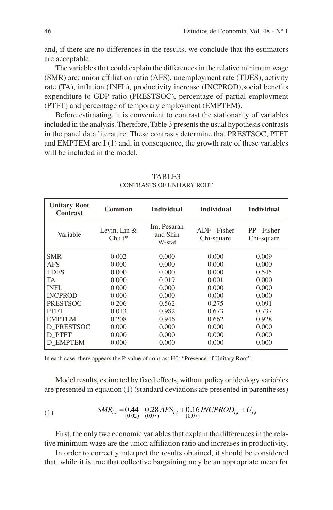and, if there are no differences in the results, we conclude that the estimators are acceptable.

The variables that could explain the differences in the relative minimum wage (SMR) are: union affiliation ratio (AFS), unemployment rate (TDES), activity rate (TA), inflation (INFL), productivity increase (INCPROD),social benefits expenditure to GDP ratio (PRESTSOC), percentage of partial employment (PTFT) and percentage of temporary employment (EMPTEM).

Before estimating, it is convenient to contrast the stationarity of variables included in the analysis. Therefore, Table 3 presents the usual hypothesis contrasts in the panel data literature. These contrasts determine that PRESTSOC, PTFT and EMPTEM are I (1) and, in consequence, the growth rate of these variables will be included in the model.

| <b>Unitary Root</b><br><b>Contrast</b> | Common                      | <b>Individual</b>                 | <b>Individual</b>          | <b>Individual</b>         |
|----------------------------------------|-----------------------------|-----------------------------------|----------------------------|---------------------------|
| Variable                               | Levin, Lin $&$<br>$Chu t^*$ | Im, Pesaran<br>and Shin<br>W-stat | ADF - Fisher<br>Chi-square | PP - Fisher<br>Chi-square |
| <b>SMR</b>                             | 0.002                       | 0.000                             | 0.000                      | 0.009                     |
| <b>AFS</b>                             | 0.000                       | 0.000                             | 0.000                      | 0.000                     |
| <b>TDES</b>                            | 0.000                       | 0.000                             | 0.000                      | 0.545                     |
| TA.                                    | 0.000                       | 0.019                             | 0.001                      | 0.000                     |
| INFL.                                  | 0.000                       | 0.000                             | 0.000                      | 0.000                     |
| <b>INCPROD</b>                         | 0.000                       | 0.000                             | 0.000                      | 0.000                     |
| <b>PRESTSOC</b>                        | 0.206                       | 0.562                             | 0.275                      | 0.091                     |
| <b>PTFT</b>                            | 0.013                       | 0.982                             | 0.673                      | 0.737                     |
| <b>EMPTEM</b>                          | 0.208                       | 0.946                             | 0.662                      | 0.928                     |
| D PRESTSOC                             | 0.000                       | 0.000                             | 0.000                      | 0.000                     |
| D PTFT                                 | 0.000                       | 0.000                             | 0.000                      | 0.000                     |
| D EMPTEM                               | 0.000                       | 0.000                             | 0.000                      | 0.000                     |

TABLE3 CONTRASTS OF UNITARY ROOT

In each case, there appears the P-value of contrast H0: "Presence of Unitary Root".

Model results, estimated by fixed effects, without policy or ideology variables are presented in equation (1) (standard deviations are presented in parentheses)

(1) 
$$
SMR_{i,t} = 0.44 - 0.28 AFS_{i,t} + 0.16 INCPROD_{i,t} + U_{i,t}
$$

$$
\tag{0.07} (0.07)
$$

First, the only two economic variables that explain the differences in the relative minimum wage are the union affiliation ratio and increases in productivity.

In order to correctly interpret the results obtained, it should be considered that, while it is true that collective bargaining may be an appropriate mean for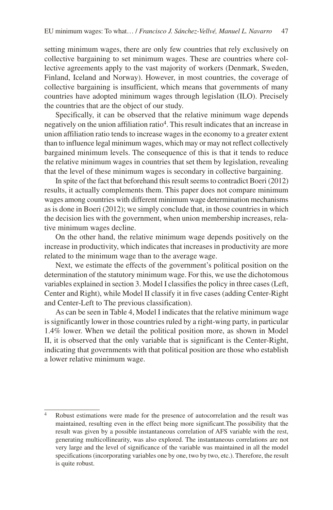setting minimum wages, there are only few countries that rely exclusively on collective bargaining to set minimum wages. These are countries where collective agreements apply to the vast majority of workers (Denmark, Sweden, Finland, Iceland and Norway). However, in most countries, the coverage of collective bargaining is insufficient, which means that governments of many countries have adopted minimum wages through legislation (ILO). Precisely the countries that are the object of our study.

Specifically, it can be observed that the relative minimum wage depends negatively on the union affiliation ratio4. This result indicates that an increase in union affiliation ratio tends to increase wages in the economy to a greater extent than to influence legal minimum wages, which may or may not reflect collectively bargained minimum levels. The consequence of this is that it tends to reduce the relative minimum wages in countries that set them by legislation, revealing that the level of these minimum wages is secondary in collective bargaining.

In spite of the fact that beforehand this result seems to contradict Boeri (2012) results, it actually complements them. This paper does not compare minimum wages among countries with different minimum wage determination mechanisms as is done in Boeri (2012); we simply conclude that, in those countries in which the decision lies with the government, when union membership increases, relative minimum wages decline.

On the other hand, the relative minimum wage depends positively on the increase in productivity, which indicates that increases in productivity are more related to the minimum wage than to the average wage.

Next, we estimate the effects of the government's political position on the determination of the statutory minimum wage. For this, we use the dichotomous variables explained in section 3. Model I classifies the policy in three cases (Left, Center and Right), while Model II classify it in five cases (adding Center-Right and Center-Left to The previous classification).

As can be seen in Table 4, Model I indicates that the relative minimum wage is significantly lower in those countries ruled by a right-wing party, in particular 1.4% lower. When we detail the political position more, as shown in Model II, it is observed that the only variable that is significant is the Center-Right, indicating that governments with that political position are those who establish a lower relative minimum wage.

<sup>4</sup> Robust estimations were made for the presence of autocorrelation and the result was maintained, resulting even in the effect being more significant.The possibility that the result was given by a possible instantaneous correlation of AFS variable with the rest, generating multicollinearity, was also explored. The instantaneous correlations are not very large and the level of significance of the variable was maintained in all the model specifications (incorporating variables one by one, two by two, etc.). Therefore, the result is quite robust.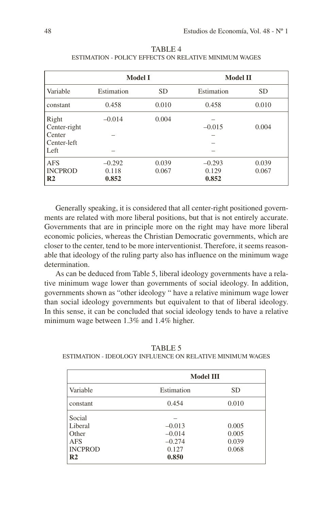|                                                        | <b>Model I</b>             |                | <b>Model II</b>            |                |  |
|--------------------------------------------------------|----------------------------|----------------|----------------------------|----------------|--|
| Variable                                               | Estimation                 | <b>SD</b>      | Estimation                 | <b>SD</b>      |  |
| constant                                               | 0.458                      | 0.010          | 0.458                      | 0.010          |  |
| Right<br>Center-right<br>Center<br>Center-left<br>Left | $-0.014$                   | 0.004          | $-0.015$                   | 0.004          |  |
| <b>AFS</b><br><b>INCPROD</b><br>R <sub>2</sub>         | $-0.292$<br>0.118<br>0.852 | 0.039<br>0.067 | $-0.293$<br>0.129<br>0.852 | 0.039<br>0.067 |  |

TABLE 4 ESTIMATION - POLICY EFFECTS ON RELATIVE MINIMUM WAGES

Generally speaking, it is considered that all center-right positioned governments are related with more liberal positions, but that is not entirely accurate. Governments that are in principle more on the right may have more liberal economic policies, whereas the Christian Democratic governments, which are closer to the center, tend to be more interventionist. Therefore, it seems reasonable that ideology of the ruling party also has influence on the minimum wage determination.

As can be deduced from Table 5, liberal ideology governments have a relative minimum wage lower than governments of social ideology. In addition, governments shown as "other ideology " have a relative minimum wage lower than social ideology governments but equivalent to that of liberal ideology. In this sense, it can be concluded that social ideology tends to have a relative minimum wage between 1.3% and 1.4% higher.

TABLE 5

ESTIMATION - IDEOLOGY INFLUENCE ON RELATIVE MINIMUM WAGES

|                | <b>Model III</b> |           |  |  |
|----------------|------------------|-----------|--|--|
| Variable       | Estimation       | <b>SD</b> |  |  |
| constant       | 0.454            | 0.010     |  |  |
| Social         |                  |           |  |  |
| Liberal        | $-0.013$         | 0.005     |  |  |
| Other          | $-0.014$         | 0.005     |  |  |
| <b>AFS</b>     | $-0.274$         | 0.039     |  |  |
| <b>INCPROD</b> | 0.068<br>0.127   |           |  |  |
| R <sub>2</sub> | 0.850            |           |  |  |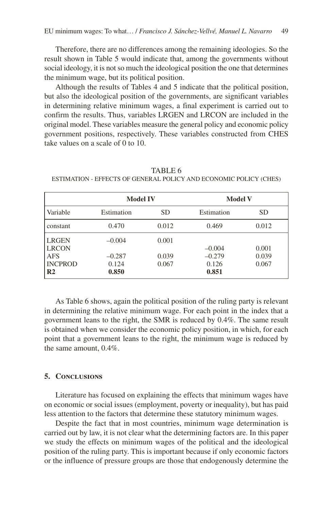Therefore, there are no differences among the remaining ideologies. So the result shown in Table 5 would indicate that, among the governments without social ideology, it is not so much the ideological position the one that determines the minimum wage, but its political position.

Although the results of Tables 4 and 5 indicate that the political position, but also the ideological position of the governments, are significant variables in determining relative minimum wages, a final experiment is carried out to confirm the results. Thus, variables LRGEN and LRCON are included in the original model. These variables measure the general policy and economic policy government positions, respectively. These variables constructed from CHES take values on a scale of 0 to 10.

|                              | <b>Model IV</b> |           | <b>Model V</b> |       |  |
|------------------------------|-----------------|-----------|----------------|-------|--|
| Variable                     | Estimation      | <b>SD</b> | Estimation     | SD    |  |
| constant                     | 0.470           | 0.012     | 0.469          | 0.012 |  |
| <b>LRGEN</b><br><b>LRCON</b> | $-0.004$        | 0.001     | $-0.004$       | 0.001 |  |
| <b>AFS</b>                   | $-0.287$        | 0.039     | $-0.279$       | 0.039 |  |
| <b>INCPROD</b>               | 0.124           | 0.067     | 0.126          | 0.067 |  |
| R <sub>2</sub>               | 0.850           |           | 0.851          |       |  |

TABLE 6

ESTIMATION - EFFECTS OF GENERAL POLICY AND ECONOMIC POLICY (CHES)

As Table 6 shows, again the political position of the ruling party is relevant in determining the relative minimum wage. For each point in the index that a government leans to the right, the SMR is reduced by 0.4%. The same result is obtained when we consider the economic policy position, in which, for each point that a government leans to the right, the minimum wage is reduced by the same amount, 0.4%.

#### **5. Conclusions**

Literature has focused on explaining the effects that minimum wages have on economic or social issues (employment, poverty or inequality), but has paid less attention to the factors that determine these statutory minimum wages.

Despite the fact that in most countries, minimum wage determination is carried out by law, it is not clear what the determining factors are. In this paper we study the effects on minimum wages of the political and the ideological position of the ruling party. This is important because if only economic factors or the influence of pressure groups are those that endogenously determine the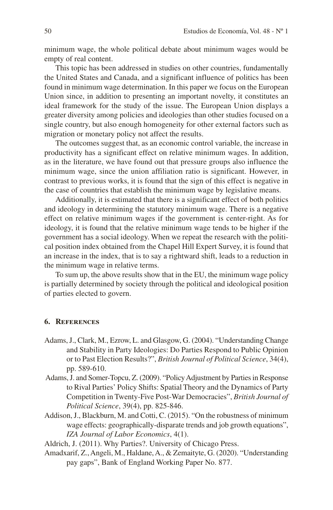minimum wage, the whole political debate about minimum wages would be empty of real content.

This topic has been addressed in studies on other countries, fundamentally the United States and Canada, and a significant influence of politics has been found in minimum wage determination. In this paper we focus on the European Union since, in addition to presenting an important novelty, it constitutes an ideal framework for the study of the issue. The European Union displays a greater diversity among policies and ideologies than other studies focused on a single country, but also enough homogeneity for other external factors such as migration or monetary policy not affect the results.

The outcomes suggest that, as an economic control variable, the increase in productivity has a significant effect on relative minimum wages. In addition, as in the literature, we have found out that pressure groups also influence the minimum wage, since the union affiliation ratio is significant. However, in contrast to previous works, it is found that the sign of this effect is negative in the case of countries that establish the minimum wage by legislative means.

Additionally, it is estimated that there is a significant effect of both politics and ideology in determining the statutory minimum wage. There is a negative effect on relative minimum wages if the government is center-right. As for ideology, it is found that the relative minimum wage tends to be higher if the government has a social ideology. When we repeat the research with the political position index obtained from the Chapel Hill Expert Survey, it is found that an increase in the index, that is to say a rightward shift, leads to a reduction in the minimum wage in relative terms.

To sum up, the above results show that in the EU, the minimum wage policy is partially determined by society through the political and ideological position of parties elected to govern.

## **6. References**

- Adams, J., Clark, M., Ezrow, L. and Glasgow, G. (2004). "Understanding Change and Stability in Party Ideologies: Do Parties Respond to Public Opinion or to Past Election Results?", *British Journal of Political Science*, 34(4), pp. 589-610.
- Adams, J. and Somer-Topcu, Z. (2009). "Policy Adjustment by Parties in Response to Rival Parties' Policy Shifts: Spatial Theory and the Dynamics of Party Competition in Twenty-Five Post-War Democracies", *British Journal of Political Science*, 39(4), pp. 825-846.
- Addison, J., Blackburn, M. and Cotti, C. (2015). "On the robustness of minimum wage effects: geographically-disparate trends and job growth equations", *IZA Journal of Labor Economics*, 4(1).

Aldrich, J. (2011). Why Parties?. University of Chicago Press.

Amadxarif, Z., Angeli, M., Haldane, A., & Zemaityte, G. (2020). "Understanding pay gaps", Bank of England Working Paper No. 877.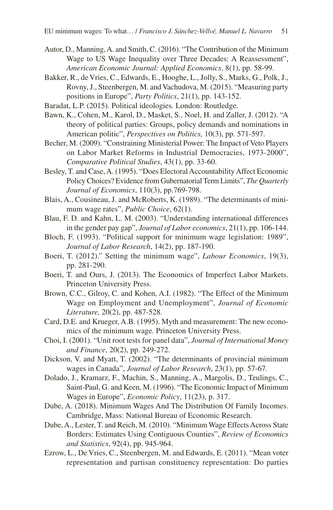- Autor, D., Manning, A. and Smith, C. (2016). "The Contribution of the Minimum Wage to US Wage Inequality over Three Decades: A Reassessment", *American Economic Journal: Applied Economics*, 8(1), pp. 58-99.
- Bakker, R., de Vries, C., Edwards, E., Hooghe, L., Jolly, S., Marks, G., Polk, J., Rovny, J., Steenbergen, M. and Vachudova, M. (2015). "Measuring party positions in Europe", *Party Politics*, 21(1), pp. 143-152.
- Baradat, L.P. (2015). Political ideologies*.* London: Routledge.
- Bawn, K., Cohen, M., Karol, D., Masket, S., Noel, H. and Zaller, J. (2012). "A theory of political parties: Groups, policy demands and nominations in American politic", *Perspectives on Politics,* 10(3), pp. 571-597.
- Becher, M. (2009). "Constraining Ministerial Power: The Impact of Veto Players on Labor Market Reforms in Industrial Democracies, 1973-2000", *Comparative Political Studies*, 43(1), pp. 33-60.
- Besley, T. and Case, A. (1995). "Does Electoral Accountability Affect Economic Policy Choices? Evidence from Gubernatorial Term Limits", *The Quarterly Journal of Economics*, 110(3), pp.769-798.
- Blais, A., Cousineau, J. and McRoberts, K. (1989). "The determinants of minimum wage rates", *Public Choice*, 62(1).
- Blau, F. D. and Kahn, L. M. (2003). "Understanding international differences in the gender pay gap", *Journal of Labor economics*, 21(1), pp. 106-144.
- Bloch, F. (1993). "Political support for minimum wage legislation: 1989", *Journal of Labor Research*, 14(2), pp. 187-190.
- Boeri, T. (2012)." Setting the minimum wage", *Labour Economics*, 19(3), pp. 281-290.
- Boeri, T. and Ours, J. (2013). The Economics of Imperfect Labor Markets. Princeton University Press.
- Brown, C.C., Gilroy, C. and Kohen, A.I. (1982). "The Effect of the Minimum Wage on Employment and Unemployment", *Journal of Economic Literature,* 20(2), pp. 487-528.
- Card, D.E. and Krueger, A.B. (1995). Myth and measurement: The new economics of the minimum wage*.* Princeton University Press.
- Choi, I. (2001). "Unit root tests for panel data", *Journal of International Money and Finance*, 20(2), pp. 249-272.
- Dickson, V. and Myatt, T. (2002). "The determinants of provincial minimum wages in Canada", *Journal of Labor Research*, 23(1), pp. 57-67.
- Dolado, J., Kramarz, F., Machin, S., Manning, A., Margolis, D., Teulings, C., Saint-Paul, G. and Keen, M. (1996). "The Economic Impact of Minimum Wages in Europe", *Economic Policy*, 11(23), p. 317.
- Dube, A. (2018). Minimum Wages And The Distribution Of Family Incomes. Cambridge, Mass: National Bureau of Economic Research.
- Dube, A., Lester, T. and Reich, M. (2010). "Minimum Wage Effects Across State Borders: Estimates Using Contiguous Counties", *Review of Economics and Statistics*, 92(4), pp. 945-964.
- Ezrow, L., De Vries, C., Steenbergen, M. and Edwards, E. (2011). "Mean voter representation and partisan constituency representation: Do parties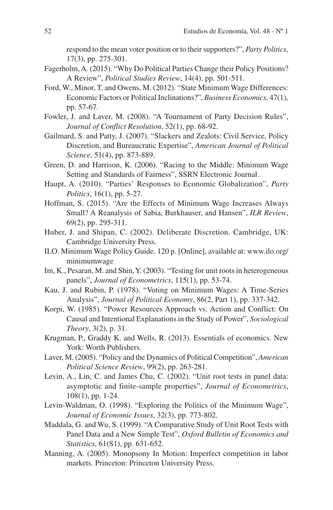respond to the mean voter position or to their supporters?", *Party Politics*, 17(3), pp. 275-301.

- Fagerholm, A. (2015). "Why Do Political Parties Change their Policy Positions? A Review", *Political Studies Review*, 14(4), pp. 501-511.
- Ford, W., Minor, T. and Owens, M. (2012). "State Minimum Wage Differences: Economic Factors or Political Inclinations?", *Business Economics*, 47(1), pp. 57-67.
- Fowler, J. and Laver, M. (2008). "A Tournament of Party Decision Rules", *Journal of Conflict Resolution*, 52(1), pp. 68-92.
- Gailmard, S. and Patty, J. (2007). "Slackers and Zealots: Civil Service, Policy Discretion, and Bureaucratic Expertise", *American Journal of Political Science*, 51(4), pp. 873-889.
- Green, D. and Harrison, K. (2006). "Racing to the Middle: Minimum Wage Setting and Standards of Fairness", SSRN Electronic Journal.
- Haupt, A. (2010). "Parties' Responses to Economic Globalization", *Party Politics*, 16(1), pp. 5-27.
- Hoffman, S. (2015). "Are the Effects of Minimum Wage Increases Always Small? A Reanalysis of Sabia, Burkhauser, and Hansen", *ILR Review*, 69(2), pp. 295-311.
- Huber, J. and Shipan, C. (2002). Deliberate Discretion. Cambridge, UK: Cambridge University Press.
- ILO. Minimum Wage Policy Guide. 120 p. [Online], available at: www.ilo.org/ minimumwage
- Im, K., Pesaran, M. and Shin, Y. (2003). "Testing for unit roots in heterogeneous panels", *Journal of Econometrics*, 115(1), pp. 53-74.
- Kau, J. and Rubin, P. (1978). "Voting on Minimum Wages: A Time-Series Analysis", *Journal of Political Economy*, 86(2, Part 1), pp. 337-342.
- Korpi, W. (1985). "Power Resources Approach vs. Action and Conflict: On Causal and Intentional Explanations in the Study of Power", *Sociological Theory*, 3(2), p. 31.
- Krugman, P., Graddy K. and Wells, R. (2013). Essentials of economics. New York: Worth Publishers.
- Laver, M. (2005). "Policy and the Dynamics of Political Competition", *American Political Science Review*, 99(2), pp. 263-281.
- Levin, A., Lin, C. and James Chu, C. (2002). "Unit root tests in panel data: asymptotic and finite-sample properties", *Journal of Econometrics*, 108(1), pp. 1-24.
- Levin-Waldman, O. (1998). "Exploring the Politics of the Minimum Wage", *Journal of Economic Issues*, 32(3), pp. 773-802.
- Maddala, G. and Wu, S. (1999). "A Comparative Study of Unit Root Tests with Panel Data and a New Simple Test", *Oxford Bulletin of Economics and Statistics*, 61(S1), pp. 631-652.
- Manning, A. (2005). Monopsony In Motion: Imperfect competition in labor markets. Princeton: Princeton University Press.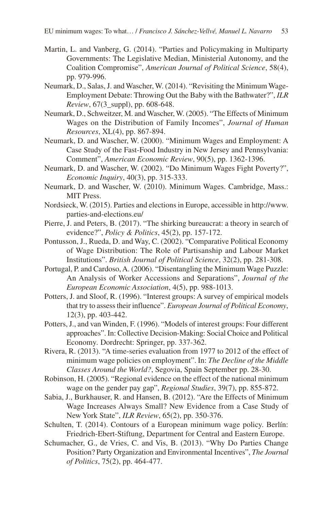- Martin, L. and Vanberg, G. (2014). "Parties and Policymaking in Multiparty Governments: The Legislative Median, Ministerial Autonomy, and the Coalition Compromise", *American Journal of Political Science*, 58(4), pp. 979-996.
- Neumark, D., Salas, J. and Wascher, W. (2014). "Revisiting the Minimum Wage-Employment Debate: Throwing Out the Baby with the Bathwater?", *ILR Review*, 67(3\_suppl), pp. 608-648.
- Neumark, D., Schweitzer, M. and Wascher, W. (2005). "The Effects of Minimum Wages on the Distribution of Family Incomes", *Journal of Human Resources*, XL(4), pp. 867-894.
- Neumark, D. and Wascher, W. (2000). "Minimum Wages and Employment: A Case Study of the Fast-Food Industry in New Jersey and Pennsylvania: Comment", *American Economic Review*, 90(5), pp. 1362-1396.
- Neumark, D. and Wascher, W. (2002). "Do Minimum Wages Fight Poverty?", *Economic Inquiry*, 40(3), pp. 315-333.
- Neumark, D. and Wascher, W. (2010). Minimum Wages. Cambridge, Mass.: MIT Press.
- Nordsieck, W. (2015). Parties and elections in Europe, accessible in http://www. parties-and-elections.eu/
- Pierre, J. and Peters, B. (2017). "The shirking bureaucrat: a theory in search of evidence?", *Policy & Politics*, 45(2), pp. 157-172.
- Pontusson, J., Rueda, D. and Way, C. (2002). "Comparative Political Economy of Wage Distribution: The Role of Partisanship and Labour Market Institutions". *British Journal of Political Science*, 32(2), pp. 281-308.
- Portugal, P. and Cardoso, A. (2006). "Disentangling the Minimum Wage Puzzle: An Analysis of Worker Accessions and Separations", *Journal of the European Economic Association*, 4(5), pp. 988-1013.
- Potters, J. and Sloof, R. (1996). "Interest groups: A survey of empirical models that try to assess their influence". *European Journal of Political Economy*, 12(3), pp. 403-442.
- Potters, J., and van Winden, F. (1996). "Models of interest groups: Four different approaches". In: Collective Decision-Making: Social Choice and Political Economy*.* Dordrecht: Springer, pp. 337-362.
- Rivera, R. (2013). "A time-series evaluation from 1977 to 2012 of the effect of minimum wage policies on employment". In: *The Decline of the Middle Classes Around the World?*, Segovia, Spain September pp. 28-30.
- Robinson, H. (2005). "Regional evidence on the effect of the national minimum wage on the gender pay gap", *Regional Studies*, 39(7), pp. 855-872.
- Sabia, J., Burkhauser, R. and Hansen, B. (2012). "Are the Effects of Minimum Wage Increases Always Small? New Evidence from a Case Study of New York State", *ILR Review*, 65(2), pp. 350-376.
- Schulten, T. (2014). Contours of a European minimum wage policy. Berlín: Friedrich-Ebert-Stiftung, Department for Central and Eastern Europe.
- Schumacher, G., de Vries, C. and Vis, B. (2013). "Why Do Parties Change Position? Party Organization and Environmental Incentives", *The Journal of Politics*, 75(2), pp. 464-477.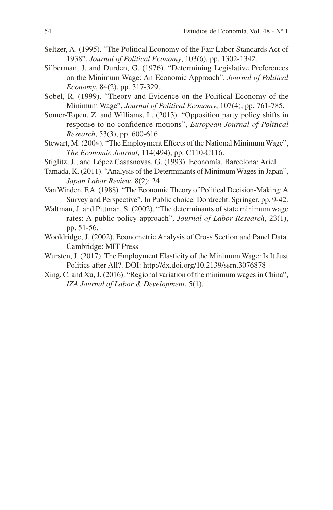- Seltzer, A. (1995). "The Political Economy of the Fair Labor Standards Act of 1938", *Journal of Political Economy*, 103(6), pp. 1302-1342.
- Silberman, J. and Durden, G. (1976). "Determining Legislative Preferences on the Minimum Wage: An Economic Approach", *Journal of Political Economy*, 84(2), pp. 317-329.
- Sobel, R. (1999). "Theory and Evidence on the Political Economy of the Minimum Wage", *Journal of Political Economy*, 107(4), pp. 761-785.
- Somer-Topcu, Z. and Williams, L. (2013). "Opposition party policy shifts in response to no-confidence motions", *European Journal of Political Research*, 53(3), pp. 600-616.
- Stewart, M. (2004). "The Employment Effects of the National Minimum Wage", *The Economic Journal*, 114(494), pp. C110-C116.
- Stiglitz, J., and López Casasnovas, G. (1993). Economía. Barcelona: Ariel.
- Tamada, K. (2011). "Analysis of the Determinants of Minimum Wages in Japan", *Japan Labor Review*, 8(2): 24.
- Van Winden, F.A. (1988). "The Economic Theory of Political Decision-Making: A Survey and Perspective". In Public choice*.* Dordrecht: Springer, pp. 9-42.
- Waltman, J. and Pittman, S. (2002). "The determinants of state minimum wage rates: A public policy approach", *Journal of Labor Research*, 23(1), pp. 51-56.
- Wooldridge, J. (2002). Econometric Analysis of Cross Section and Panel Data. Cambridge: MIT Press
- Wursten, J. (2017). The Employment Elasticity of the Minimum Wage: Is It Just Politics after All?. DOI: http://dx.doi.org/10.2139/ssrn.3076878
- Xing, C. and Xu, J. (2016). "Regional variation of the minimum wages in China", *IZA Journal of Labor & Development*, 5(1).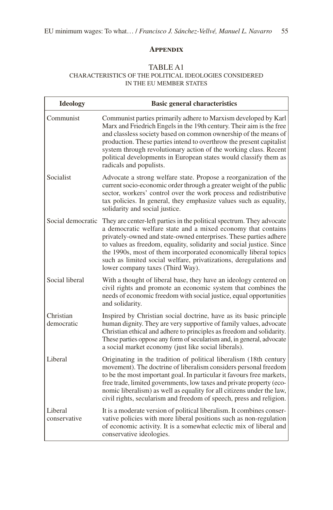### **Appendix**

### TABLE A1 CHARACTERISTICS OF THE POLITICAL IDEOLOGIES CONSIDERED IN THE EU MEMBER STATES

| <b>Ideology</b>         | <b>Basic general characteristics</b>                                                                                                                                                                                                                                                                                                                                                                                                                            |
|-------------------------|-----------------------------------------------------------------------------------------------------------------------------------------------------------------------------------------------------------------------------------------------------------------------------------------------------------------------------------------------------------------------------------------------------------------------------------------------------------------|
| Communist               | Communist parties primarily adhere to Marxism developed by Karl<br>Marx and Friedrich Engels in the 19th century. Their aim is the free<br>and classless society based on common ownership of the means of<br>production. These parties intend to overthrow the present capitalist<br>system through revolutionary action of the working class. Recent<br>political developments in European states would classify them as<br>radicals and populists.           |
| Socialist               | Advocate a strong welfare state. Propose a reorganization of the<br>current socio-economic order through a greater weight of the public<br>sector, workers' control over the work process and redistributive<br>tax policies. In general, they emphasize values such as equality,<br>solidarity and social justice.                                                                                                                                             |
| Social democratic       | They are center-left parties in the political spectrum. They advocate<br>a democratic welfare state and a mixed economy that contains<br>privately-owned and state-owned enterprises. These parties adhere<br>to values as freedom, equality, solidarity and social justice. Since<br>the 1990s, most of them incorporated economically liberal topics<br>such as limited social welfare, privatizations, deregulations and<br>lower company taxes (Third Way). |
| Social liberal          | With a thought of liberal base, they have an ideology centered on<br>civil rights and promote an economic system that combines the<br>needs of economic freedom with social justice, equal opportunities<br>and solidarity.                                                                                                                                                                                                                                     |
| Christian<br>democratic | Inspired by Christian social doctrine, have as its basic principle<br>human dignity. They are very supportive of family values, advocate<br>Christian ethical and adhere to principles as freedom and solidarity.<br>These parties oppose any form of secularism and, in general, advocate<br>a social market economy (just like social liberals).                                                                                                              |
| Liberal                 | Originating in the tradition of political liberalism (18th century<br>movement). The doctrine of liberalism considers personal freedom<br>to be the most important goal. In particular it favours free markets,<br>free trade, limited governments, low taxes and private property (eco-<br>nomic liberalism) as well as equality for all citizens under the law,<br>civil rights, secularism and freedom of speech, press and religion.                        |
| Liberal<br>conservative | It is a moderate version of political liberalism. It combines conser-<br>vative policies with more liberal positions such as non-regulation<br>of economic activity. It is a somewhat eclectic mix of liberal and<br>conservative ideologies.                                                                                                                                                                                                                   |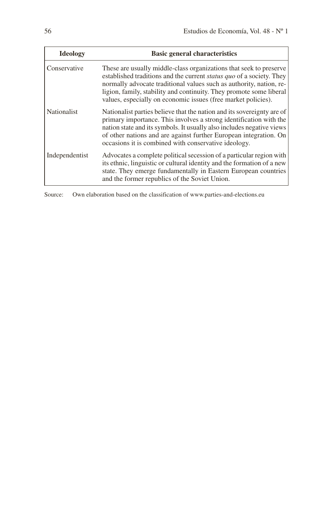| <b>Ideology</b>    | <b>Basic general characteristics</b>                                                                                                                                                                                                                                                                                                                      |
|--------------------|-----------------------------------------------------------------------------------------------------------------------------------------------------------------------------------------------------------------------------------------------------------------------------------------------------------------------------------------------------------|
| Conservative       | These are usually middle-class organizations that seek to preserve<br>established traditions and the current status quo of a society. They<br>normally advocate traditional values such as authority, nation, re-<br>ligion, family, stability and continuity. They promote some liberal<br>values, especially on economic issues (free market policies). |
| <b>Nationalist</b> | Nationalist parties believe that the nation and its sovereignty are of<br>primary importance. This involves a strong identification with the<br>nation state and its symbols. It usually also includes negative views<br>of other nations and are against further European integration. On<br>occasions it is combined with conservative ideology.        |
| Independentist     | Advocates a complete political secession of a particular region with<br>its ethnic, linguistic or cultural identity and the formation of a new<br>state. They emerge fundamentally in Eastern European countries<br>and the former republics of the Soviet Union.                                                                                         |

Source: Own elaboration based on the classification of www.parties-and-elections.eu